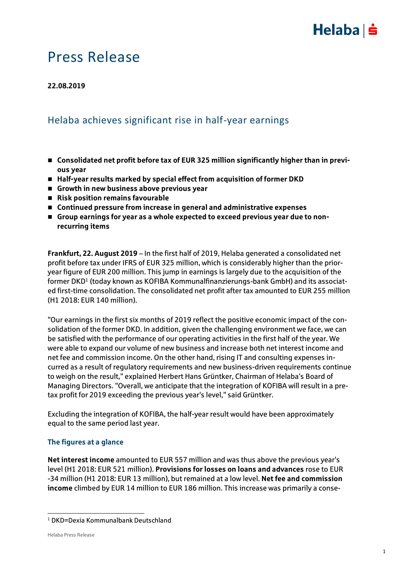

### Press Release

#### **22.08.2019**

### Helaba achieves significant rise in half-year earnings

- Consolidated net profit before tax of EUR 325 million significantly higher than in previ**ous year**
- Half-year results marked by special effect from acquisition of former DKD
- **Growth in new business above previous year**
- **Risk position remains favourable**
- **Continued pressure from increase in general and administrative expenses**
- **Group earnings for year as a whole expected to exceed previous year due to nonrecurring items**

**Frankfurt, 22. August 2019** – In the first half of 2019, Helaba generated a consolidated net profit before tax under IFRS of EUR 325 million, which is considerably higher than the prioryear figure of EUR 200 million. This jump in earnings is largely due to the acquisition of the former DKD $^{\rm 1}$  (today known as KOFIBA Kommunalfinanzierungs-bank GmbH) and its associated first-time consolidation. The consolidated net profit after tax amounted to EUR 255 million (H1 2018: EUR 140 million).

"Our earnings in the first six months of 2019 reflect the positive economic impact of the consolidation of the former DKD. In addition, given the challenging environment we face, we can be satisfied with the performance of our operating activities in the first half of the year. We were able to expand our volume of new business and increase both net interest income and net fee and commission income. On the other hand, rising IT and consulting expenses incurred as a result of regulatory requirements and new business-driven requirements continue to weigh on the result," explained Herbert Hans Grüntker, Chairman of Helaba's Board of Managing Directors. "Overall, we anticipate that the integration of KOFIBA will result in a pretax profit for 2019 exceeding the previous year's level," said Grüntker.

Excluding the integration of KOFIBA, the half-year result would have been approximately equal to the same period last year.

#### **The figures at a glance**

**Net interest income** amounted to EUR 557 million and was thus above the previous year's level (H1 2018: EUR 521 million). **Provisions for losses on loans and advances** rose to EUR -34 million (H1 2018: EUR 13 million), but remained at a low level. **Net fee and commission income** climbed by EUR 14 million to EUR 186 million. This increase was primarily a conse-

 $\overline{a}$ 

<sup>1</sup> DKD=Dexia Kommunalbank Deutschland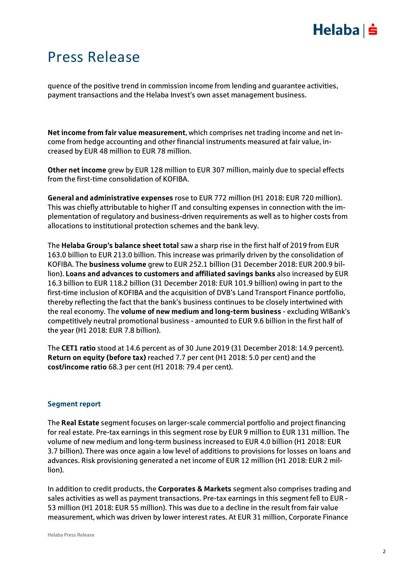# $Helaba| \dot{=}$

## Press Release

quence of the positive trend in commission income from lending and guarantee activities, payment transactions and the Helaba Invest's own asset management business.

**Net income from fair value measurement**, which comprises net trading income and net income from hedge accounting and other financial instruments measured at fair value, increased by EUR 48 million to EUR 78 million.

**Other net income** grew by EUR 128 million to EUR 307 million, mainly due to special effects from the first-time consolidation of KOFIBA.

**General and administrative expenses** rose to EUR 772 million (H1 2018: EUR 720 million). This was chiefly attributable to higher IT and consulting expenses in connection with the implementation of regulatory and business-driven requirements as well as to higher costs from allocations to institutional protection schemes and the bank levy.

The **Helaba Group's balance sheet total** saw a sharp rise in the first half of 2019 from EUR 163.0 billion to EUR 213.0 billion. This increase was primarily driven by the consolidation of KOFIBA. The **business volume** grew to EUR 252.1 billion (31 December 2018: EUR 200.9 billion). **Loans and advances to customers and affiliated savings banks** also increased by EUR 16.3 billion to EUR 118.2 billion (31 December 2018: EUR 101.9 billion) owing in part to the first-time inclusion of KOFIBA and the acquisition of DVB's Land Transport Finance portfolio, thereby reflecting the fact that the bank's business continues to be closely intertwined with the real economy. The **volume of new medium and long-term business** - excluding WIBank's competitively neutral promotional business - amounted to EUR 9.6 billion in the first half of the year (H1 2018: EUR 7.8 billion).

The **CET1 ratio** stood at 14.6 percent as of 30 June 2019 (31 December 2018: 14.9 percent). **Return on equity (before tax)** reached 7.7 per cent (H1 2018: 5.0 per cent) and the **cost/income ratio** 68.3 per cent (H1 2018: 79.4 per cent).

#### **Segment report**

The **Real Estate** segment focuses on larger-scale commercial portfolio and project financing for real estate. Pre-tax earnings in this segment rose by EUR 9 million to EUR 131 million. The volume of new medium and long-term business increased to EUR 4.0 billion (H1 2018: EUR 3.7 billion). There was once again a low level of additions to provisions for losses on loans and advances. Risk provisioning generated a net income of EUR 12 million (H1 2018: EUR 2 million).

In addition to credit products, the **Corporates & Markets** segment also comprises trading and sales activities as well as payment transactions. Pre-tax earnings in this segment fell to EUR - 53 million (H1 2018: EUR 55 million). This was due to a decline in the result from fair value measurement, which was driven by lower interest rates. At EUR 31 million, Corporate Finance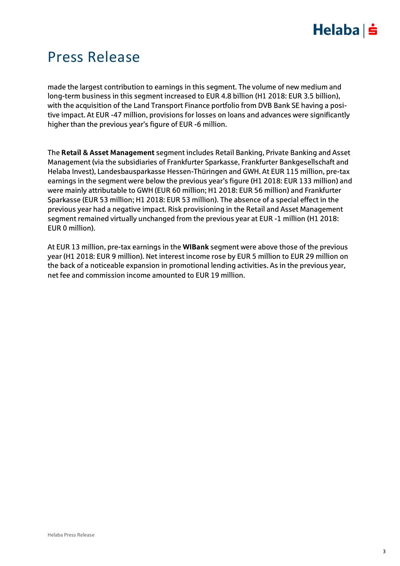# $Helaba$  =

## Press Release

made the largest contribution to earnings in this segment. The volume of new medium and long-term business in this segment increased to EUR 4.8 billion (H1 2018: EUR 3.5 billion), with the acquisition of the Land Transport Finance portfolio from DVB Bank SE having a positive impact. At EUR -47 million, provisions for losses on loans and advances were significantly higher than the previous year's figure of EUR -6 million.

The **Retail & Asset Management** segment includes Retail Banking, Private Banking and Asset Management (via the subsidiaries of Frankfurter Sparkasse, Frankfurter Bankgesellschaft and Helaba Invest), Landesbausparkasse Hessen-Thüringen and GWH. At EUR 115 million, pre-tax earnings in the segment were below the previous year's figure (H1 2018: EUR 133 million) and were mainly attributable to GWH (EUR 60 million; H1 2018: EUR 56 million) and Frankfurter Sparkasse (EUR 53 million; H1 2018: EUR 53 million). The absence of a special effect in the previous year had a negative impact. Risk provisioning in the Retail and Asset Management segment remained virtually unchanged from the previous year at EUR -1 million (H1 2018: EUR 0 million).

At EUR 13 million, pre-tax earnings in the **WIBank** segment were above those of the previous year (H1 2018: EUR 9 million). Net interest income rose by EUR 5 million to EUR 29 million on the back of a noticeable expansion in promotional lending activities. As in the previous year, net fee and commission income amounted to EUR 19 million.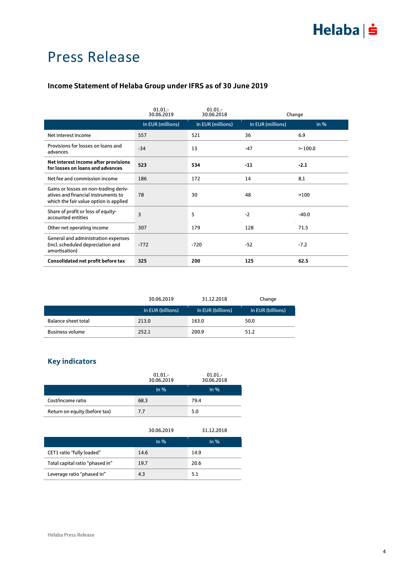## Press Release

#### **Income Statement of Helaba Group under IFRS as of 30 June 2019**

|                                                                                                                        | 01.01.<br>30.06.2019 | $01.01 -$<br>30.06.2018 |                   | Change     |
|------------------------------------------------------------------------------------------------------------------------|----------------------|-------------------------|-------------------|------------|
|                                                                                                                        | In EUR (millions)    | In EUR (millions)       | In EUR (millions) | $ln\%$     |
| Net interest income                                                                                                    | 557                  | 521                     | 36                | 6.9        |
| Provisions for losses on loans and<br>advances                                                                         | $-34$                | 13                      | $-47$             | $> -100.0$ |
| Net interest income after provisions<br>for losses on loans and advances                                               | 523                  | 534                     | $-11$             | $-2.1$     |
| Net fee and commission income                                                                                          | 186                  | 172                     | 14                | 8.1        |
| Gains or losses on non-trading deriv-<br>atives and financial instruments to<br>which the fair value option is applied | 78                   | 30                      | 48                | >100       |
| Share of profit or loss of equity-<br>accounted entities                                                               | 3                    | 5                       | $-2$              | $-40.0$    |
| Other net operating income                                                                                             | 307                  | 179                     | 128               | 71.5       |
| General and administration expenses<br>(incl. scheduled depreciation and<br>amortisation)                              | $-772$               | $-720$                  | $-52$             | $-7.2$     |
| Consolidated net profit before tax                                                                                     | 325                  | 200                     | 125               | 62.5       |

|                        | 30.06.2019        | 31.12.2018        | Change            |
|------------------------|-------------------|-------------------|-------------------|
|                        | In EUR (billions) | In EUR (billions) | In EUR (billions) |
| Balance sheet total    | 213.0             | 163.0             | 50.0              |
| <b>Business volume</b> | 252.1             | 200.9             | 51.2              |

### **Key indicators**

|                               | $01.01 -$<br>30.06.2019 | $01.01 -$<br>30.06.2018 |  |
|-------------------------------|-------------------------|-------------------------|--|
|                               | In $%$                  | In $%$                  |  |
| Cost/income ratio             | 68.3                    | 79.4                    |  |
| Return on equity (before tax) | 7.7                     | 5.0                     |  |

|                                 | 30.06.2019 | 31.12.2018 |
|---------------------------------|------------|------------|
|                                 | In $%$     | In $%$     |
| CET1 ratio "fully loaded"       | 14.6       | 14.9       |
| Total capital ratio "phased in" | 19.7       | 20.6       |
| Leverage ratio "phased in"      | 4.3        | 5.1        |